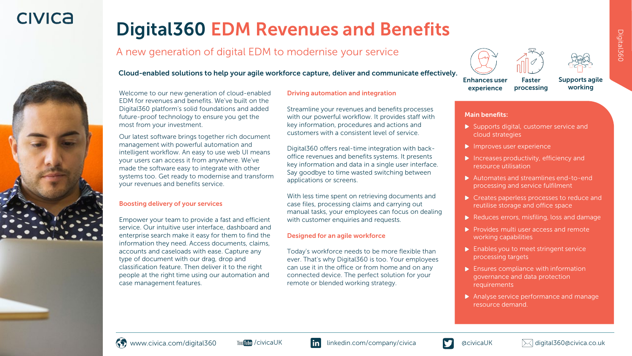## **CIVICA**

# Digital 360 EDM Revenues and Benefits

### A new generation of digital EDM to modernise your service







Enhances user experience processing

Supports agile working



Welcome to our new generation of cloud-enabled EDM for revenues and benefits. We've built on the Digital360 platform's solid foundations and added future-proof technology to ensure you get the most from your investment.

Our latest software brings together rich document management with powerful automation and intelligent workflow. An easy to use web UI means your users can access it from anywhere. We've made the software easy to integrate with other systems too. Get ready to modernise and transform your revenues and benefits service.

#### Boosting delivery of your services

Empower your team to provide a fast and efficient service. Our intuitive user interface, dashboard and enterprise search make it easy for them to find the information they need. Access documents, claims, accounts and caseloads with ease. Capture any type of document with our drag, drop and classification feature. Then deliver it to the right people at the right time using our automation and case management features.

#### Driving automation and integration

Streamline your revenues and benefits processes with our powerful workflow. It provides staff with key information, procedures and actions and customers with a consistent level of service.

Digital360 offers real-time integration with backoffice revenues and benefits systems. It presents key information and data in a single user interface. Say goodbye to time wasted switching between applications or screens.

With less time spent on retrieving documents and case files, processing claims and carrying out manual tasks, your employees can focus on dealing with customer enquiries and requests.

#### Designed for an agile workforce

Today's workforce needs to be more flexible than ever. That's why Digital360 is too. Your employees can use it in the office or from home and on any connected device. The perfect solution for your remote or blended working strategy.

#### Main benefits:

▶ Supports digital, customer service and cloud strategies

Faster

- $\blacktriangleright$  Improves user experience
- **Increases productivity, efficiency and** resource utilisation
- Automates and streamlines end-to-end processing and service fulfilment
- ▶ Creates paperless processes to reduce and reutilise storage and office space
- Reduces errors, misfiling, loss and damage
- $\triangleright$  Provides multi user access and remote working capabilities
- $\blacktriangleright$  Enables you to meet stringent service processing targets
- $\blacktriangleright$  Ensures compliance with information governance and data protection requirements
- Analyse service performance and manage resource demand.



Digital360